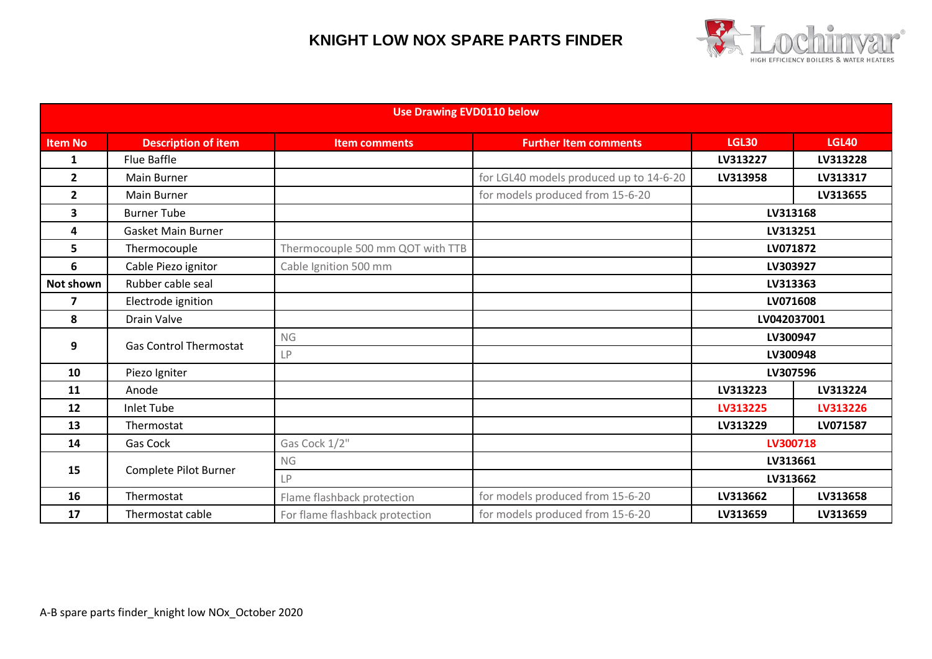

| <b>Use Drawing EVD0110 below</b> |                               |                                  |                                         |              |              |  |  |  |
|----------------------------------|-------------------------------|----------------------------------|-----------------------------------------|--------------|--------------|--|--|--|
| <b>Item No</b>                   | <b>Description of item</b>    | <b>Item comments</b>             | <b>Further Item comments</b>            | <b>LGL30</b> | <b>LGL40</b> |  |  |  |
| 1                                | Flue Baffle                   |                                  |                                         | LV313227     | LV313228     |  |  |  |
| $\mathbf{2}$                     | <b>Main Burner</b>            |                                  | for LGL40 models produced up to 14-6-20 | LV313958     | LV313317     |  |  |  |
| $\mathbf{2}$                     | <b>Main Burner</b>            |                                  | for models produced from 15-6-20        |              | LV313655     |  |  |  |
| 3                                | <b>Burner Tube</b>            |                                  |                                         | LV313168     |              |  |  |  |
| 4                                | Gasket Main Burner            |                                  |                                         | LV313251     |              |  |  |  |
| 5                                | Thermocouple                  | Thermocouple 500 mm QOT with TTB |                                         | LV071872     |              |  |  |  |
| 6                                | Cable Piezo ignitor           | Cable Ignition 500 mm            |                                         | LV303927     |              |  |  |  |
| <b>Not shown</b>                 | Rubber cable seal             |                                  |                                         | LV313363     |              |  |  |  |
| 7                                | Electrode ignition            |                                  |                                         | LV071608     |              |  |  |  |
| 8                                | Drain Valve                   |                                  |                                         | LV042037001  |              |  |  |  |
| 9                                | <b>Gas Control Thermostat</b> | <b>NG</b>                        |                                         | LV300947     |              |  |  |  |
|                                  |                               | LP                               |                                         | LV300948     |              |  |  |  |
| 10                               | Piezo Igniter                 |                                  |                                         | LV307596     |              |  |  |  |
| 11                               | Anode                         |                                  |                                         | LV313223     | LV313224     |  |  |  |
| 12                               | <b>Inlet Tube</b>             |                                  |                                         | LV313225     | LV313226     |  |  |  |
| 13                               | Thermostat                    |                                  |                                         | LV313229     | LV071587     |  |  |  |
| 14                               | <b>Gas Cock</b>               | Gas Cock 1/2"                    |                                         | LV300718     |              |  |  |  |
| 15                               | Complete Pilot Burner         | <b>NG</b>                        |                                         | LV313661     |              |  |  |  |
|                                  |                               | <b>LP</b>                        |                                         | LV313662     |              |  |  |  |
| 16                               | Thermostat                    | Flame flashback protection       | for models produced from 15-6-20        | LV313662     | LV313658     |  |  |  |
| 17                               | Thermostat cable              | For flame flashback protection   | for models produced from 15-6-20        | LV313659     | LV313659     |  |  |  |
|                                  |                               |                                  |                                         |              |              |  |  |  |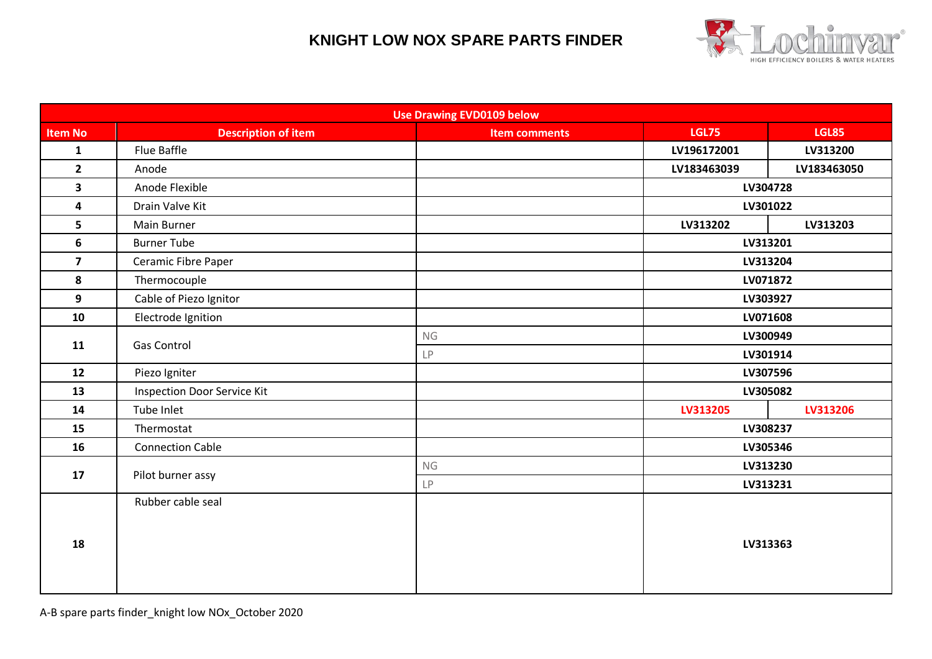

| <b>Use Drawing EVD0109 below</b> |                                    |                      |                      |              |  |  |  |  |
|----------------------------------|------------------------------------|----------------------|----------------------|--------------|--|--|--|--|
| <b>Item No</b>                   | <b>Description of item</b>         | <b>Item comments</b> | <b>LGL75</b>         | <b>LGL85</b> |  |  |  |  |
| $\mathbf{1}$                     | Flue Baffle                        |                      | LV196172001          | LV313200     |  |  |  |  |
| $\overline{2}$                   | Anode                              |                      | LV183463039          | LV183463050  |  |  |  |  |
| 3                                | Anode Flexible                     |                      | LV304728             |              |  |  |  |  |
| 4                                | Drain Valve Kit                    |                      | LV301022             |              |  |  |  |  |
| 5 <sup>5</sup>                   | <b>Main Burner</b>                 |                      | LV313202             | LV313203     |  |  |  |  |
| 6                                | <b>Burner Tube</b>                 |                      | LV313201             |              |  |  |  |  |
| $\overline{\mathbf{z}}$          | Ceramic Fibre Paper                |                      | LV313204             |              |  |  |  |  |
| 8                                | Thermocouple                       |                      | LV071872             |              |  |  |  |  |
| $\overline{9}$                   | Cable of Piezo Ignitor             |                      | LV303927             |              |  |  |  |  |
| 10                               | Electrode Ignition                 |                      | LV071608             |              |  |  |  |  |
| 11                               | Gas Control                        | NG                   | LV300949             |              |  |  |  |  |
|                                  |                                    | LP                   | LV301914             |              |  |  |  |  |
| 12                               | Piezo Igniter                      |                      | LV307596             |              |  |  |  |  |
| 13                               | <b>Inspection Door Service Kit</b> |                      | LV305082             |              |  |  |  |  |
| 14                               | Tube Inlet                         |                      | LV313205<br>LV313206 |              |  |  |  |  |
| 15                               | Thermostat                         |                      | LV308237             |              |  |  |  |  |
| 16                               | <b>Connection Cable</b>            |                      | LV305346             |              |  |  |  |  |
| 17                               |                                    | ${\sf NG}$           | LV313230             |              |  |  |  |  |
|                                  | Pilot burner assy                  | LP                   | LV313231             |              |  |  |  |  |
| 18                               | Rubber cable seal                  |                      |                      |              |  |  |  |  |
|                                  |                                    |                      |                      |              |  |  |  |  |
|                                  |                                    |                      | LV313363             |              |  |  |  |  |
|                                  |                                    |                      |                      |              |  |  |  |  |
|                                  |                                    |                      |                      |              |  |  |  |  |
|                                  |                                    |                      |                      |              |  |  |  |  |

A-B spare parts finder\_knight low NOx\_October 2020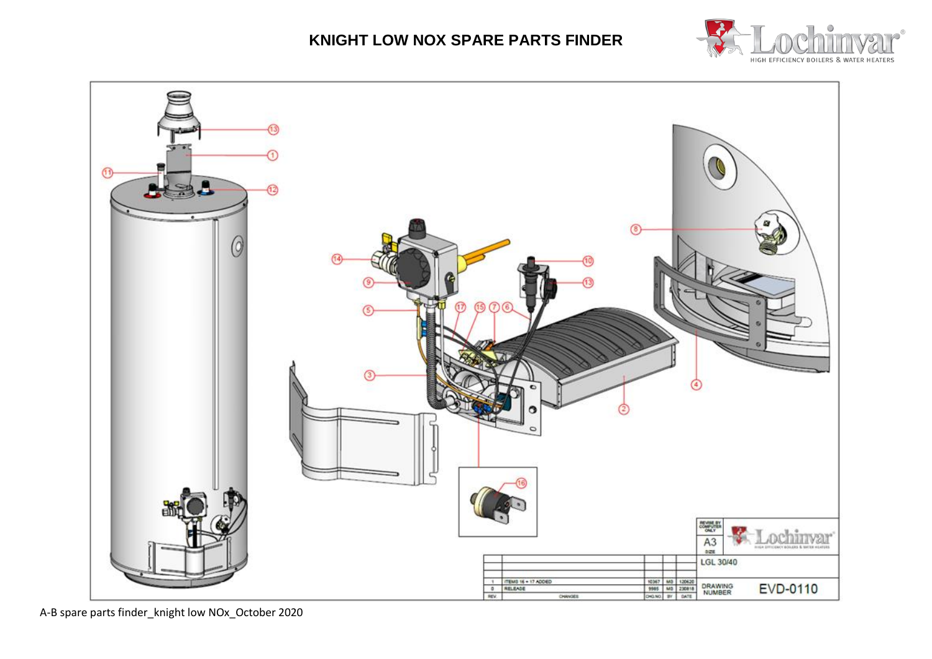



A-B spare parts finder\_knight low NOx\_October 2020